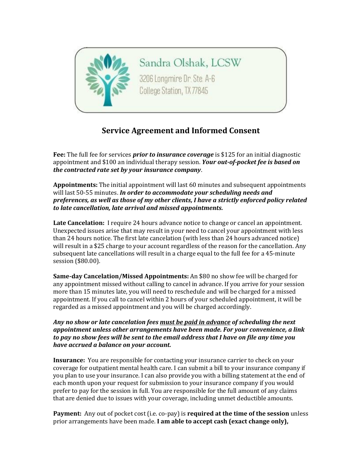

Sandra Olshak, LCSW 3206 Longmire Dr. Ste. A-6 College Station, TX 77845

## **Service Agreement and Informed Consent**

**Fee:** The full fee for services *prior to insurance coverage* is \$125 for an initial diagnostic appointment and \$100 an individual therapy session. *Your out-of-pocket fee is based on the contracted rate set by your insurance company*.

**Appointments:** The initial appointment will last 60 minutes and subsequent appointments will last 50-55 minutes. *In order to accommodate your scheduling needs and preferences, as well as those of my other clients, I have a strictly enforced policy related to late cancellation, late arrival and missed appointments.*

**Late Cancelation:** I require 24 hours advance notice to change or cancel an appointment. Unexpected issues arise that may result in your need to cancel your appointment with less than 24 hours notice. The first late cancelation (with less than 24 hours advanced notice) will result in a \$25 charge to your account regardless of the reason for the cancellation. Any subsequent late cancellations will result in a charge equal to the full fee for a 45-minute session (\$80.00).

**Same-day Cancelation/Missed Appointments:** An \$80 no show fee will be charged for any appointment missed without calling to cancel in advance. If you arrive for your session more than 15 minutes late, you will need to reschedule and will be charged for a missed appointment. If you call to cancel within 2 hours of your scheduled appointment, it will be regarded as a missed appointment and you will be charged accordingly.

*Any no show or late cancelation fees must be paid in advance of scheduling the next appointment unless other arrangements have been made. For your convenience, a link to pay no show fees will be sent to the email address that I have on file any time you have accrued a balance on your account.*

**Insurance:** You are responsible for contacting your insurance carrier to check on your coverage for outpatient mental health care. I can submit a bill to your insurance company if you plan to use your insurance. I can also provide you with a billing statement at the end of each month upon your request for submission to your insurance company if you would prefer to pay for the session in full. You are responsible for the full amount of any claims that are denied due to issues with your coverage, including unmet deductible amounts.

**Payment:** Any out of pocket cost (i.e. co-pay) is **required at the time of the session** unless prior arrangements have been made. **I am able to accept cash (exact change only),**